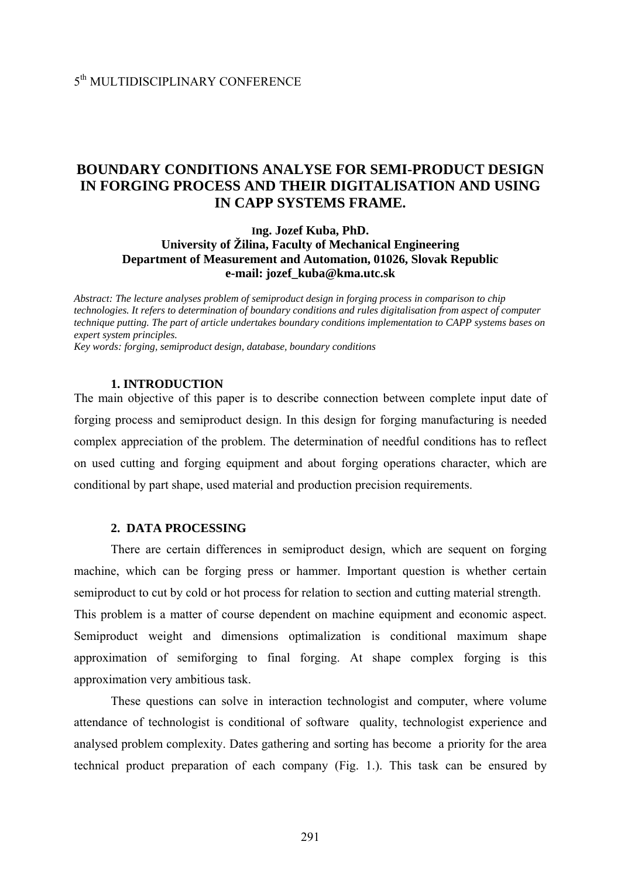# **BOUNDARY CONDITIONS ANALYSE FOR SEMI-PRODUCT DESIGN IN FORGING PROCESS AND THEIR DIGITALISATION AND USING IN CAPP SYSTEMS FRAME.**

## **Ing. Jozef Kuba, PhD. University of Žilina, Faculty of Mechanical Engineering Department of Measurement and Automation, 01026, Slovak Republic e-mail: [jozef\\_kuba@kma.utc.sk](mailto:jozef_kuba@kma.utc.sk)**

*Abstract: The lecture analyses problem of semiproduct design in forging process in comparison to chip technologies. It refers to determination of boundary conditions and rules digitalisation from aspect of computer technique putting. The part of article undertakes boundary conditions implementation to CAPP systems bases on expert system principles. Key words: forging, semiproduct design, database, boundary conditions* 

#### **1. INTRODUCTION**

The main objective of this paper is to describe connection between complete input date of forging process and semiproduct design. In this design for forging manufacturing is needed complex appreciation of the problem. The determination of needful conditions has to reflect on used cutting and forging equipment and about forging operations character, which are conditional by part shape, used material and production precision requirements.

#### **2. DATA PROCESSING**

 There are certain differences in semiproduct design, which are sequent on forging machine, which can be forging press or hammer. Important question is whether certain semiproduct to cut by cold or hot process for relation to section and cutting material strength. This problem is a matter of course dependent on machine equipment and economic aspect. Semiproduct weight and dimensions optimalization is conditional maximum shape approximation of semiforging to final forging. At shape complex forging is this approximation very ambitious task.

 These questions can solve in interaction technologist and computer, where volume attendance of technologist is conditional of software quality, technologist experience and analysed problem complexity. Dates gathering and sorting has become a priority for the area technical product preparation of each company (Fig. 1.). This task can be ensured by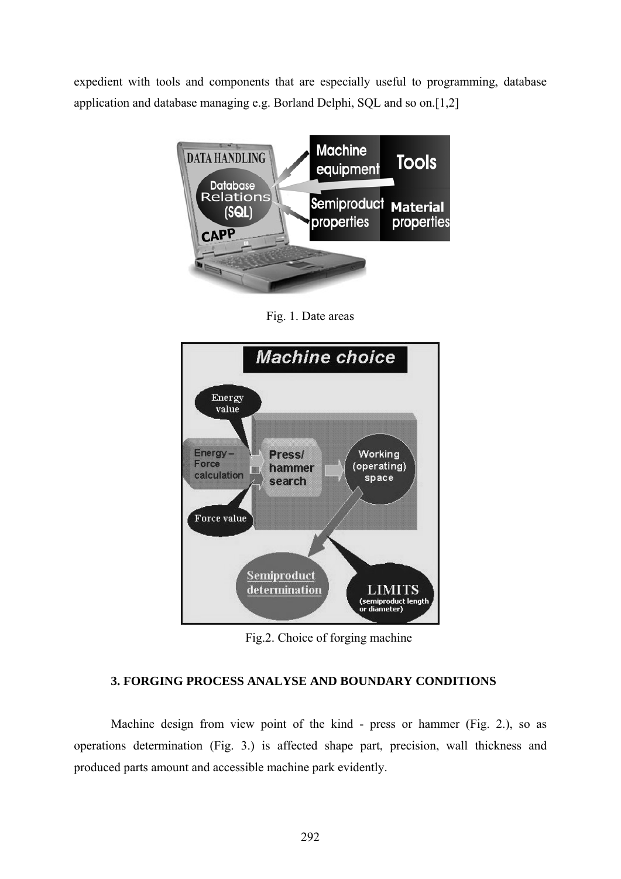expedient with tools and components that are especially useful to programming, database application and database managing e.g. Borland Delphi, SQL and so on.[1,2]



Fig. 1. Date areas



Fig.2. Choice of forging machine

# **3. FORGING PROCESS ANALYSE AND BOUNDARY CONDITIONS**

Machine design from view point of the kind - press or hammer (Fig. 2.), so as operations determination (Fig. 3.) is affected shape part, precision, wall thickness and produced parts amount and accessible machine park evidently.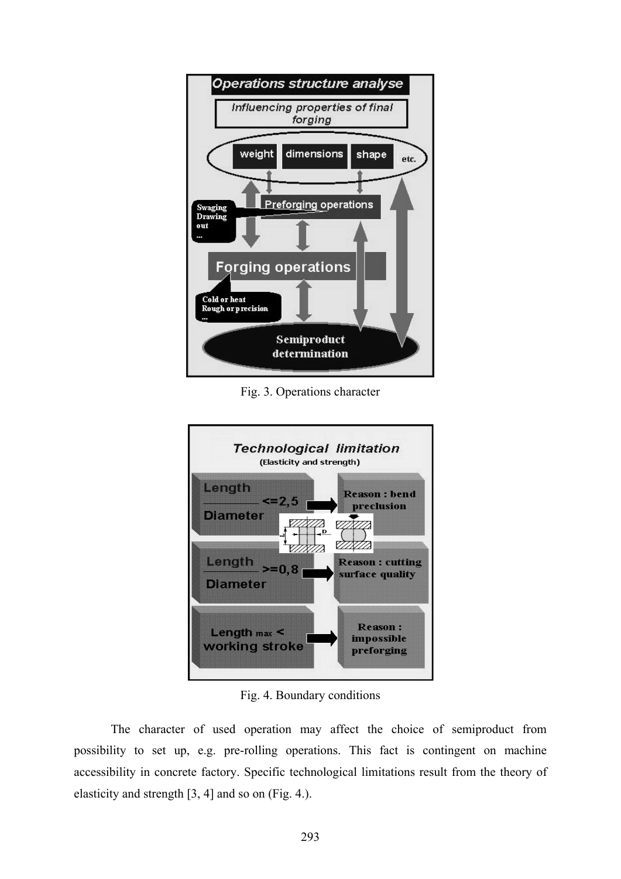

Fig. 3. Operations character



Fig. 4. Boundary conditions

 The character of used operation may affect the choice of semiproduct from possibility to set up, e.g. pre-rolling operations. This fact is contingent on machine accessibility in concrete factory. Specific technological limitations result from the theory of elasticity and strength [3, 4] and so on (Fig. 4.).